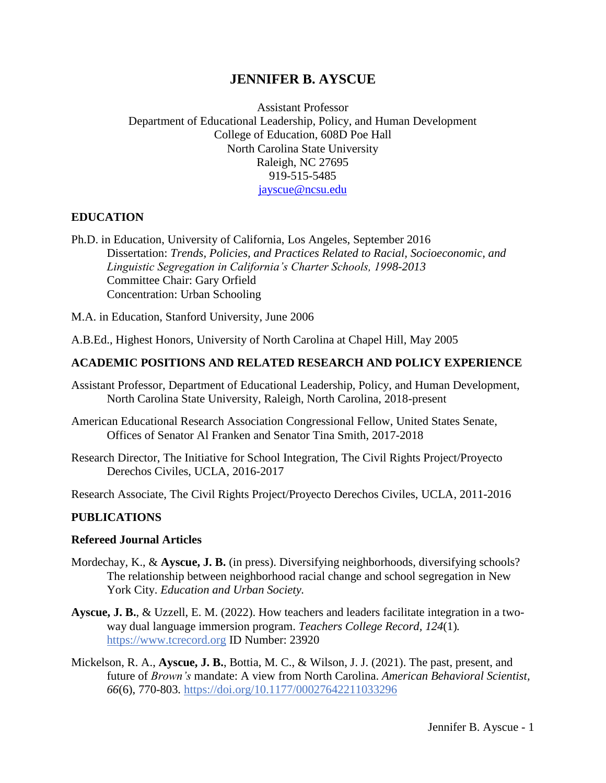# **JENNIFER B. AYSCUE**

Assistant Professor Department of Educational Leadership, Policy, and Human Development College of Education, 608D Poe Hall North Carolina State University Raleigh, NC 27695 919-515-5485 [jayscue@ncsu.edu](mailto:jayscue@ncsu.edu)

### **EDUCATION**

Ph.D. in Education, University of California, Los Angeles, September 2016 Dissertation: *Trends, Policies, and Practices Related to Racial, Socioeconomic, and Linguistic Segregation in California's Charter Schools, 1998-2013* Committee Chair: Gary Orfield Concentration: Urban Schooling

M.A. in Education, Stanford University, June 2006

A.B.Ed., Highest Honors, University of North Carolina at Chapel Hill, May 2005

#### **ACADEMIC POSITIONS AND RELATED RESEARCH AND POLICY EXPERIENCE**

- Assistant Professor, Department of Educational Leadership, Policy, and Human Development, North Carolina State University, Raleigh, North Carolina, 2018-present
- American Educational Research Association Congressional Fellow, United States Senate, Offices of Senator Al Franken and Senator Tina Smith, 2017-2018
- Research Director, The Initiative for School Integration, The Civil Rights Project/Proyecto Derechos Civiles, UCLA, 2016-2017

Research Associate, The Civil Rights Project/Proyecto Derechos Civiles, UCLA, 2011-2016

#### **PUBLICATIONS**

#### **Refereed Journal Articles**

- Mordechay, K., & **Ayscue, J. B.** (in press). Diversifying neighborhoods, diversifying schools? The relationship between neighborhood racial change and school segregation in New York City. *Education and Urban Society.*
- **Ayscue, J. B.**, & Uzzell, E. M. (2022). How teachers and leaders facilitate integration in a twoway dual language immersion program. *Teachers College Record, 124*(1)*.* [https://www.tcrecord.org](https://www.tcrecord.org/Home.asp) ID Number: 23920
- Mickelson, R. A., **Ayscue, J. B.**, Bottia, M. C., & Wilson, J. J. (2021). The past, present, and future of *Brown's* mandate: A view from North Carolina. *American Behavioral Scientist, 66*(6), 770-803*.* [https://doi.org/10.1177/00027642211033296](https://doi.org/10.1177%2F00027642211033296)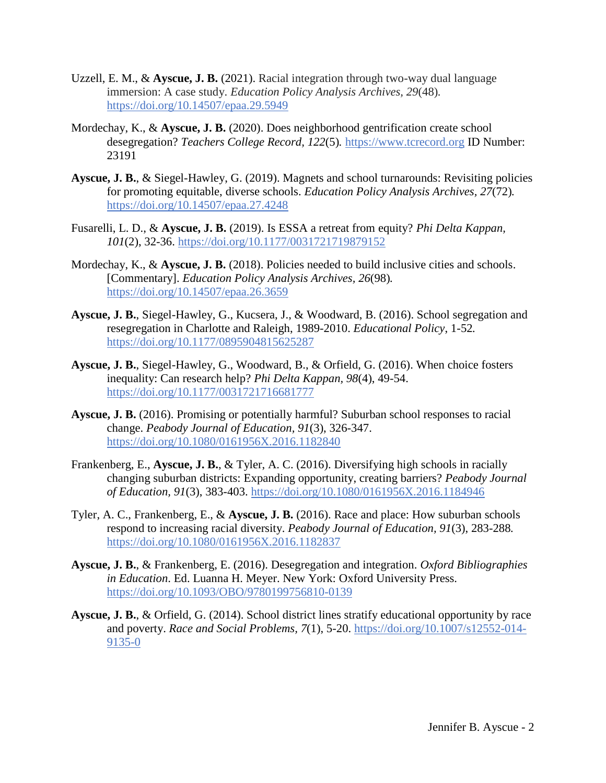- Uzzell, E. M., & **Ayscue, J. B.** (2021). Racial integration through two-way dual language immersion: A case study. *Education Policy Analysis Archives, 29*(48)*.* <https://doi.org/10.14507/epaa.29.5949>
- Mordechay, K., & **Ayscue, J. B.** (2020). Does neighborhood gentrification create school desegregation? *Teachers College Record, 122*(5)*.* [https://www.tcrecord.org](https://www.tcrecord.org/Home.asp) ID Number: 23191
- **Ayscue, J. B.**, & Siegel-Hawley, G. (2019). Magnets and school turnarounds: Revisiting policies for promoting equitable, diverse schools. *Education Policy Analysis Archives, 27*(72)*.* <https://doi.org/10.14507/epaa.27.4248>
- Fusarelli, L. D., & **Ayscue, J. B.** (2019). Is ESSA a retreat from equity? *Phi Delta Kappan, 101*(2), 32-36. [https://doi.org/10.1177/0031721719879152](https://doi.org/10.1177%2F0031721719879152)
- Mordechay, K., & **Ayscue, J. B.** (2018). Policies needed to build inclusive cities and schools. [Commentary]. *Education Policy Analysis Archives, 26*(98)*.* <https://doi.org/10.14507/epaa.26.3659>
- **Ayscue, J. B.**, Siegel-Hawley, G., Kucsera, J., & Woodward, B. (2016). School segregation and resegregation in Charlotte and Raleigh, 1989-2010. *Educational Policy*, 1-52*.* [https://doi.org/10.1177/0895904815625287](https://doi.org/10.1177%2F0895904815625287)
- **Ayscue, J. B.**, Siegel-Hawley, G., Woodward, B., & Orfield, G. (2016). When choice fosters inequality: Can research help? *Phi Delta Kappan, 98*(4), 49-54. [https://doi.org/10.1177/0031721716681777](https://doi.org/10.1177%2F0031721716681777)
- **Ayscue, J. B.** (2016). Promising or potentially harmful? Suburban school responses to racial change. *Peabody Journal of Education, 91*(3), 326-347. <https://doi.org/10.1080/0161956X.2016.1182840>
- Frankenberg, E., **Ayscue, J. B.**, & Tyler, A. C. (2016). Diversifying high schools in racially changing suburban districts: Expanding opportunity, creating barriers? *Peabody Journal of Education, 91*(3), 383-403. <https://doi.org/10.1080/0161956X.2016.1184946>
- Tyler, A. C., Frankenberg, E., & **Ayscue, J. B.** (2016). Race and place: How suburban schools respond to increasing racial diversity. *Peabody Journal of Education, 91*(3), 283-288*.* <https://doi.org/10.1080/0161956X.2016.1182837>
- **Ayscue, J. B.**, & Frankenberg, E. (2016). Desegregation and integration. *Oxford Bibliographies in Education*. Ed. Luanna H. Meyer. New York: Oxford University Press. <https://doi.org/10.1093/OBO/9780199756810-0139>
- **Ayscue, J. B.**, & Orfield, G. (2014). School district lines stratify educational opportunity by race and poverty. *Race and Social Problems, 7*(1), 5-20. [https://doi.org/10.1007/s12552-014-](https://doi.org/10.1007/s12552-014-9135-0) [9135-0](https://doi.org/10.1007/s12552-014-9135-0)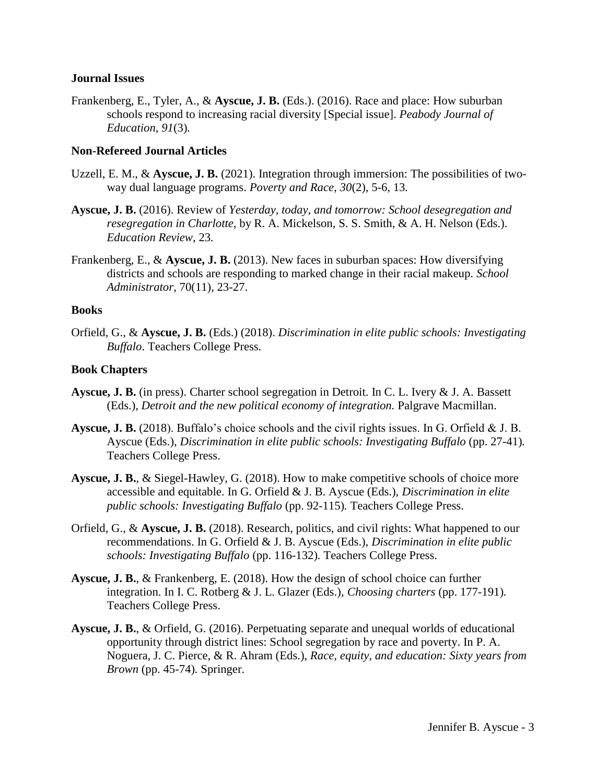#### **Journal Issues**

Frankenberg, E., Tyler, A., & **Ayscue, J. B.** (Eds.). (2016). Race and place: How suburban schools respond to increasing racial diversity [Special issue]. *Peabody Journal of Education, 91*(3)*.*

#### **Non-Refereed Journal Articles**

- Uzzell, E. M., & **Ayscue, J. B.** (2021). Integration through immersion: The possibilities of twoway dual language programs. *Poverty and Race, 30*(2), 5-6, 13*.*
- **Ayscue, J. B.** (2016). Review of *Yesterday, today, and tomorrow: School desegregation and resegregation in Charlotte*, by R. A. Mickelson, S. S. Smith, & A. H. Nelson (Eds.). *Education Review*, 23*.*
- Frankenberg, E., & **Ayscue, J. B.** (2013). New faces in suburban spaces: How diversifying districts and schools are responding to marked change in their racial makeup. *School Administrator*, 70(11), 23-27.

#### **Books**

Orfield, G., & **Ayscue, J. B.** (Eds.) (2018). *Discrimination in elite public schools: Investigating Buffalo*. Teachers College Press.

#### **Book Chapters**

- **Ayscue, J. B.** (in press). Charter school segregation in Detroit. In C. L. Ivery & J. A. Bassett (Eds.), *Detroit and the new political economy of integration.* Palgrave Macmillan.
- **Ayscue, J. B.** (2018). Buffalo's choice schools and the civil rights issues. In G. Orfield & J. B. Ayscue (Eds.), *Discrimination in elite public schools: Investigating Buffalo* (pp. 27-41)*.*  Teachers College Press.
- **Ayscue, J. B.**, & Siegel-Hawley, G. (2018). How to make competitive schools of choice more accessible and equitable. In G. Orfield & J. B. Ayscue (Eds.), *Discrimination in elite public schools: Investigating Buffalo* (pp. 92-115)*.* Teachers College Press.
- Orfield, G., & **Ayscue, J. B.** (2018). Research, politics, and civil rights: What happened to our recommendations. In G. Orfield & J. B. Ayscue (Eds.), *Discrimination in elite public schools: Investigating Buffalo* (pp. 116-132)*.* Teachers College Press.
- **Ayscue, J. B.**, & Frankenberg, E. (2018). How the design of school choice can further integration. In I. C. Rotberg & J. L. Glazer (Eds.), *Choosing charters* (pp. 177-191)*.*  Teachers College Press.
- **Ayscue, J. B.**, & Orfield, G. (2016). Perpetuating separate and unequal worlds of educational opportunity through district lines: School segregation by race and poverty. In P. A. Noguera, J. C. Pierce, & R. Ahram (Eds.), *Race, equity, and education: Sixty years from Brown* (pp. 45-74)*.* Springer.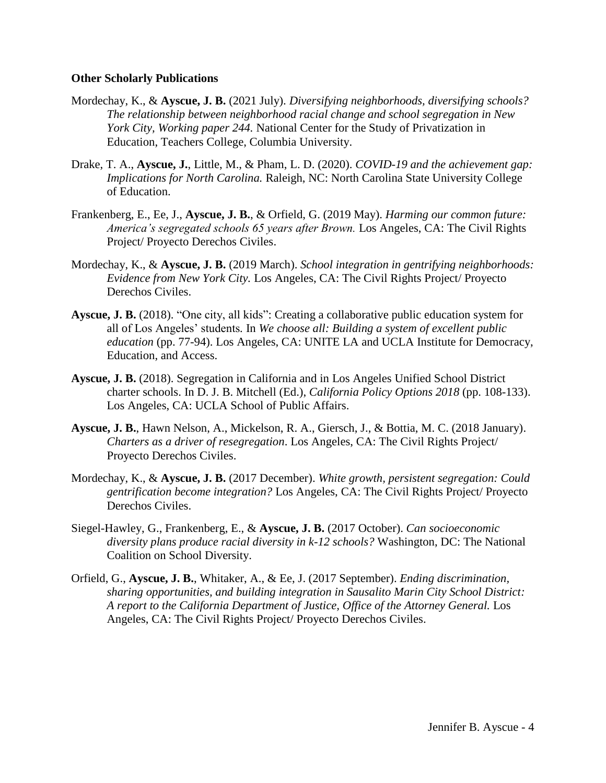#### **Other Scholarly Publications**

- Mordechay, K., & **Ayscue, J. B.** (2021 July). *Diversifying neighborhoods, diversifying schools? The relationship between neighborhood racial change and school segregation in New York City, Working paper 244.* National Center for the Study of Privatization in Education, Teachers College, Columbia University.
- Drake, T. A., **Ayscue, J.**, Little, M., & Pham, L. D. (2020). *COVID-19 and the achievement gap: Implications for North Carolina.* Raleigh, NC: North Carolina State University College of Education.
- Frankenberg, E., Ee, J., **Ayscue, J. B.**, & Orfield, G. (2019 May). *Harming our common future: America's segregated schools 65 years after Brown.* Los Angeles, CA: The Civil Rights Project/ Proyecto Derechos Civiles.
- Mordechay, K., & **Ayscue, J. B.** (2019 March). *School integration in gentrifying neighborhoods: Evidence from New York City.* Los Angeles, CA: The Civil Rights Project/ Proyecto Derechos Civiles.
- **Ayscue, J. B.** (2018). "One city, all kids": Creating a collaborative public education system for all of Los Angeles' students*.* In *We choose all: Building a system of excellent public education* (pp. 77-94). Los Angeles, CA: UNITE LA and UCLA Institute for Democracy, Education, and Access.
- **Ayscue, J. B.** (2018). Segregation in California and in Los Angeles Unified School District charter schools. In D. J. B. Mitchell (Ed.), *California Policy Options 2018* (pp. 108-133). Los Angeles, CA: UCLA School of Public Affairs.
- **Ayscue, J. B.**, Hawn Nelson, A., Mickelson, R. A., Giersch, J., & Bottia, M. C. (2018 January). *Charters as a driver of resegregation*. Los Angeles, CA: The Civil Rights Project/ Proyecto Derechos Civiles.
- Mordechay, K., & **Ayscue, J. B.** (2017 December). *White growth, persistent segregation: Could gentrification become integration?* Los Angeles, CA: The Civil Rights Project/ Proyecto Derechos Civiles.
- Siegel-Hawley, G., Frankenberg, E., & **Ayscue, J. B.** (2017 October). *Can socioeconomic diversity plans produce racial diversity in k-12 schools?* Washington, DC: The National Coalition on School Diversity.
- Orfield, G., **Ayscue, J. B.**, Whitaker, A., & Ee, J. (2017 September). *Ending discrimination, sharing opportunities, and building integration in Sausalito Marin City School District: A report to the California Department of Justice, Office of the Attorney General.* Los Angeles, CA: The Civil Rights Project/ Proyecto Derechos Civiles.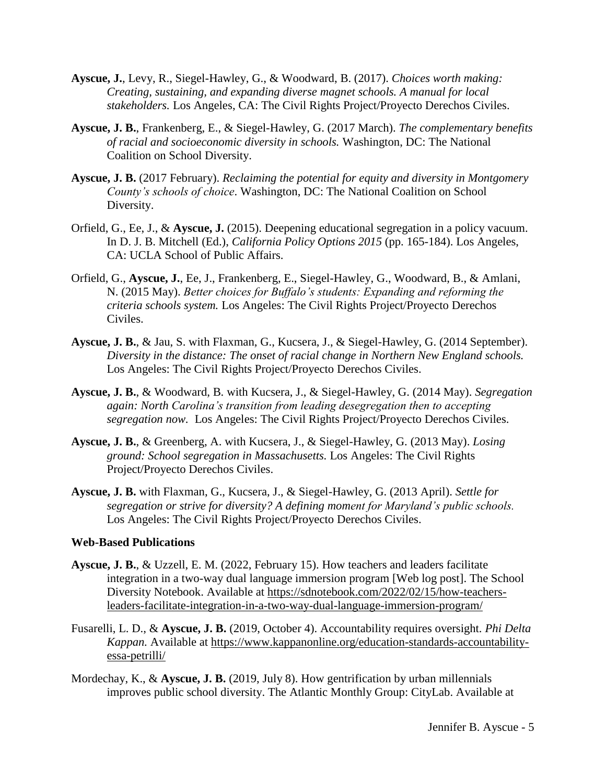- **Ayscue, J.**, Levy, R., Siegel-Hawley, G., & Woodward, B. (2017). *Choices worth making: Creating, sustaining, and expanding diverse magnet schools. A manual for local stakeholders.* Los Angeles, CA: The Civil Rights Project/Proyecto Derechos Civiles.
- **Ayscue, J. B.**, Frankenberg, E., & Siegel-Hawley, G. (2017 March). *The complementary benefits of racial and socioeconomic diversity in schools.* Washington, DC: The National Coalition on School Diversity.
- **Ayscue, J. B.** (2017 February). *Reclaiming the potential for equity and diversity in Montgomery County's schools of choice*. Washington, DC: The National Coalition on School Diversity.
- Orfield, G., Ee, J., & **Ayscue, J.** (2015). Deepening educational segregation in a policy vacuum. In D. J. B. Mitchell (Ed.), *California Policy Options 2015* (pp. 165-184). Los Angeles, CA: UCLA School of Public Affairs.
- Orfield, G., **Ayscue, J.**, Ee, J., Frankenberg, E., Siegel-Hawley, G., Woodward, B., & Amlani, N. (2015 May). *Better choices for Buffalo's students: Expanding and reforming the criteria schools system.* Los Angeles: The Civil Rights Project/Proyecto Derechos Civiles.
- **Ayscue, J. B.**, & Jau, S. with Flaxman, G., Kucsera, J., & Siegel-Hawley, G. (2014 September). *Diversity in the distance: The onset of racial change in Northern New England schools.*  Los Angeles: The Civil Rights Project/Proyecto Derechos Civiles.
- **Ayscue, J. B.**, & Woodward, B. with Kucsera, J., & Siegel-Hawley, G. (2014 May). *Segregation again: North Carolina's transition from leading desegregation then to accepting segregation now.* Los Angeles: The Civil Rights Project/Proyecto Derechos Civiles.
- **Ayscue, J. B.**, & Greenberg, A. with Kucsera, J., & Siegel-Hawley, G. (2013 May). *Losing ground: School segregation in Massachusetts.* Los Angeles: The Civil Rights Project/Proyecto Derechos Civiles.
- **Ayscue, J. B.** with Flaxman, G., Kucsera, J., & Siegel-Hawley, G. (2013 April). *Settle for segregation or strive for diversity? A defining moment for Maryland's public schools.*  Los Angeles: The Civil Rights Project/Proyecto Derechos Civiles.

#### **Web-Based Publications**

- **Ayscue, J. B.**, & Uzzell, E. M. (2022, February 15). How teachers and leaders facilitate integration in a two-way dual language immersion program [Web log post]. The School Diversity Notebook. Available at [https://sdnotebook.com/2022/02/15/how-teachers](https://sdnotebook.com/2022/02/15/how-teachers-leaders-facilitate-integration-in-a-two-way-dual-language-immersion-program/)[leaders-facilitate-integration-in-a-two-way-dual-language-immersion-program/](https://sdnotebook.com/2022/02/15/how-teachers-leaders-facilitate-integration-in-a-two-way-dual-language-immersion-program/)
- Fusarelli, L. D., & **Ayscue, J. B.** (2019, October 4). Accountability requires oversight. *Phi Delta Kappan.* Available at [https://www.kappanonline.org/education-standards-accountability](https://www.kappanonline.org/education-standards-accountability-essa-petrilli/)[essa-petrilli/](https://www.kappanonline.org/education-standards-accountability-essa-petrilli/)
- Mordechay, K., & **Ayscue, J. B.** (2019, July 8). How gentrification by urban millennials improves public school diversity. The Atlantic Monthly Group: CityLab. Available at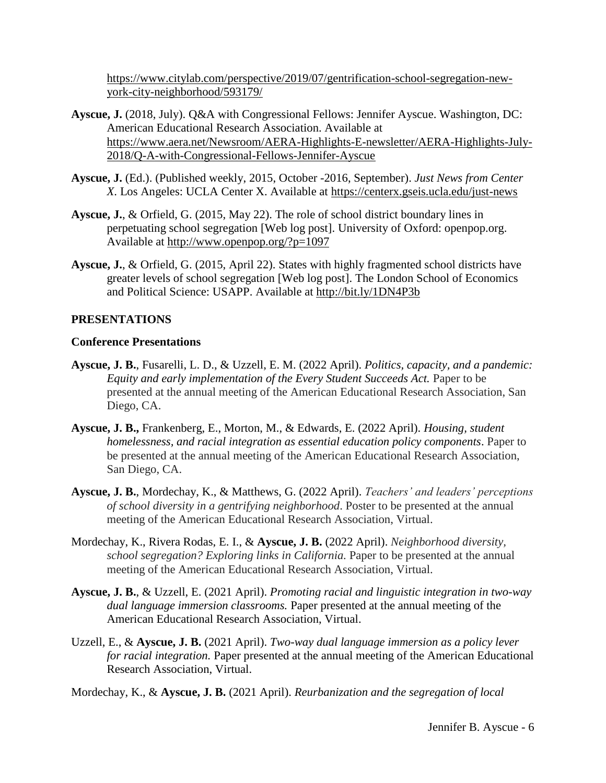[https://www.citylab.com/perspective/2019/07/gentrification-school-segregation-new](https://www.citylab.com/perspective/2019/07/gentrification-school-segregation-new-york-city-neighborhood/593179/)[york-city-neighborhood/593179/](https://www.citylab.com/perspective/2019/07/gentrification-school-segregation-new-york-city-neighborhood/593179/)

- **Ayscue, J.** (2018, July). Q&A with Congressional Fellows: Jennifer Ayscue. Washington, DC: American Educational Research Association. Available at [https://www.aera.net/Newsroom/AERA-Highlights-E-newsletter/AERA-Highlights-July-](https://www.aera.net/Newsroom/AERA-Highlights-E-newsletter/AERA-Highlights-July-2018/Q-A-with-Congressional-Fellows-Jennifer-Ayscue)[2018/Q-A-with-Congressional-Fellows-Jennifer-Ayscue](https://www.aera.net/Newsroom/AERA-Highlights-E-newsletter/AERA-Highlights-July-2018/Q-A-with-Congressional-Fellows-Jennifer-Ayscue)
- **Ayscue, J.** (Ed.). (Published weekly, 2015, October -2016, September). *Just News from Center X*. Los Angeles: UCLA Center X. Available at<https://centerx.gseis.ucla.edu/just-news>
- **Ayscue, J.**, & Orfield, G. (2015, May 22). The role of school district boundary lines in perpetuating school segregation [Web log post]. University of Oxford: openpop.org. Available at<http://www.openpop.org/?p=1097>
- **Ayscue, J.**, & Orfield, G. (2015, April 22). States with highly fragmented school districts have greater levels of school segregation [Web log post]. The London School of Economics and Political Science: USAPP. Available at<http://bit.ly/1DN4P3b>

### **PRESENTATIONS**

#### **Conference Presentations**

- **Ayscue, J. B.**, Fusarelli, L. D., & Uzzell, E. M. (2022 April). *Politics, capacity, and a pandemic: Equity and early implementation of the Every Student Succeeds Act.* Paper to be presented at the annual meeting of the American Educational Research Association, San Diego, CA.
- **Ayscue, J. B.,** Frankenberg, E., Morton, M., & Edwards, E. (2022 April). *Housing, student homelessness, and racial integration as essential education policy components*. Paper to be presented at the annual meeting of the American Educational Research Association, San Diego, CA.
- **Ayscue, J. B.**, Mordechay, K., & Matthews, G. (2022 April). *Teachers' and leaders' perceptions of school diversity in a gentrifying neighborhood*. Poster to be presented at the annual meeting of the American Educational Research Association, Virtual.
- Mordechay, K., Rivera Rodas, E. I., & **Ayscue, J. B.** (2022 April). *Neighborhood diversity, school segregation? Exploring links in California.* Paper to be presented at the annual meeting of the American Educational Research Association, Virtual.
- **Ayscue, J. B.**, & Uzzell, E. (2021 April). *Promoting racial and linguistic integration in two-way dual language immersion classrooms.* Paper presented at the annual meeting of the American Educational Research Association, Virtual.
- Uzzell, E., & **Ayscue, J. B.** (2021 April). *Two-way dual language immersion as a policy lever for racial integration.* Paper presented at the annual meeting of the American Educational Research Association, Virtual.

Mordechay, K., & **Ayscue, J. B.** (2021 April). *Reurbanization and the segregation of local*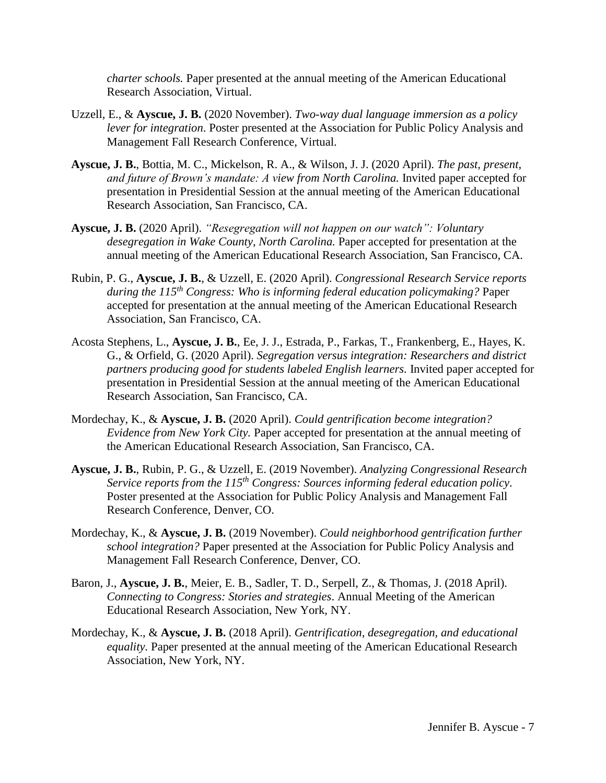*charter schools.* Paper presented at the annual meeting of the American Educational Research Association, Virtual.

- Uzzell, E., & **Ayscue, J. B.** (2020 November). *Two-way dual language immersion as a policy lever for integration*. Poster presented at the Association for Public Policy Analysis and Management Fall Research Conference, Virtual.
- **Ayscue, J. B.**, Bottia, M. C., Mickelson, R. A., & Wilson, J. J. (2020 April). *The past, present, and future of Brown's mandate: A view from North Carolina. Invited paper accepted for* presentation in Presidential Session at the annual meeting of the American Educational Research Association, San Francisco, CA.
- **Ayscue, J. B.** (2020 April). *"Resegregation will not happen on our watch": Voluntary desegregation in Wake County, North Carolina.* Paper accepted for presentation at the annual meeting of the American Educational Research Association, San Francisco, CA.
- Rubin, P. G., **Ayscue, J. B.**, & Uzzell, E. (2020 April). *Congressional Research Service reports during the 115th Congress: Who is informing federal education policymaking?* Paper accepted for presentation at the annual meeting of the American Educational Research Association, San Francisco, CA.
- Acosta Stephens, L., **Ayscue, J. B.**, Ee, J. J., Estrada, P., Farkas, T., Frankenberg, E., Hayes, K. G., & Orfield, G. (2020 April). *Segregation versus integration: Researchers and district partners producing good for students labeled English learners.* Invited paper accepted for presentation in Presidential Session at the annual meeting of the American Educational Research Association, San Francisco, CA.
- Mordechay, K., & **Ayscue, J. B.** (2020 April). *Could gentrification become integration? Evidence from New York City.* Paper accepted for presentation at the annual meeting of the American Educational Research Association, San Francisco, CA.
- **Ayscue, J. B.**, Rubin, P. G., & Uzzell, E. (2019 November). *Analyzing Congressional Research Service reports from the 115th Congress: Sources informing federal education policy*. Poster presented at the Association for Public Policy Analysis and Management Fall Research Conference, Denver, CO.
- Mordechay, K., & **Ayscue, J. B.** (2019 November). *Could neighborhood gentrification further school integration?* Paper presented at the Association for Public Policy Analysis and Management Fall Research Conference, Denver, CO.
- Baron, J., **Ayscue, J. B.**, Meier, E. B., Sadler, T. D., Serpell, Z., & Thomas, J. (2018 April). *Connecting to Congress: Stories and strategies*. Annual Meeting of the American Educational Research Association, New York, NY.
- Mordechay, K., & **Ayscue, J. B.** (2018 April). *Gentrification, desegregation, and educational equality.* Paper presented at the annual meeting of the American Educational Research Association, New York, NY.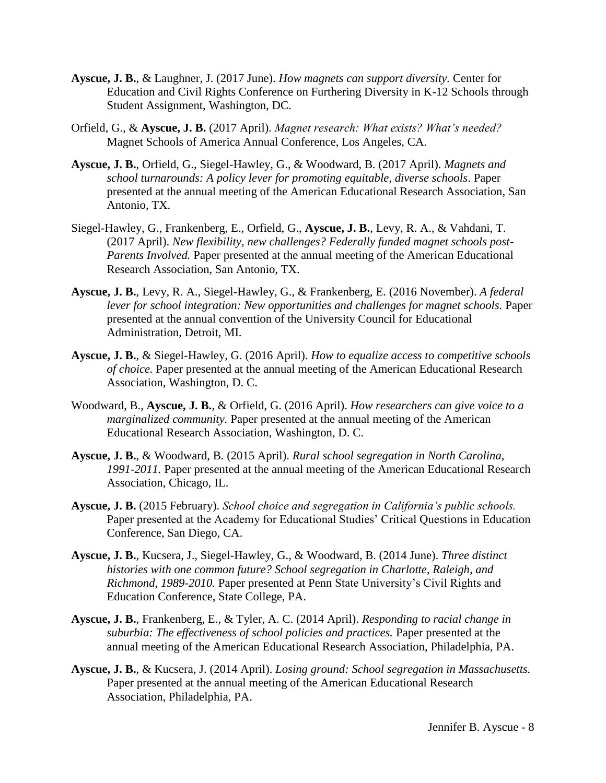- **Ayscue, J. B.**, & Laughner, J. (2017 June). *How magnets can support diversity.* Center for Education and Civil Rights Conference on Furthering Diversity in K-12 Schools through Student Assignment, Washington, DC.
- Orfield, G., & **Ayscue, J. B.** (2017 April). *Magnet research: What exists? What's needed?*  Magnet Schools of America Annual Conference, Los Angeles, CA.
- **Ayscue, J. B.**, Orfield, G., Siegel-Hawley, G., & Woodward, B. (2017 April). *Magnets and school turnarounds: A policy lever for promoting equitable, diverse schools*. Paper presented at the annual meeting of the American Educational Research Association, San Antonio, TX.
- Siegel-Hawley, G., Frankenberg, E., Orfield, G., **Ayscue, J. B.**, Levy, R. A., & Vahdani, T. (2017 April). *New flexibility, new challenges? Federally funded magnet schools post-Parents Involved.* Paper presented at the annual meeting of the American Educational Research Association, San Antonio, TX.
- **Ayscue, J. B.**, Levy, R. A., Siegel-Hawley, G., & Frankenberg, E. (2016 November). *A federal*  lever for school integration: New opportunities and challenges for magnet schools. Paper presented at the annual convention of the University Council for Educational Administration, Detroit, MI.
- **Ayscue, J. B.**, & Siegel-Hawley, G. (2016 April). *How to equalize access to competitive schools of choice.* Paper presented at the annual meeting of the American Educational Research Association, Washington, D. C.
- Woodward, B., **Ayscue, J. B.**, & Orfield, G. (2016 April). *How researchers can give voice to a marginalized community.* Paper presented at the annual meeting of the American Educational Research Association, Washington, D. C.
- **Ayscue, J. B.**, & Woodward, B. (2015 April). *Rural school segregation in North Carolina, 1991-2011.* Paper presented at the annual meeting of the American Educational Research Association, Chicago, IL.
- **Ayscue, J. B.** (2015 February). *School choice and segregation in California's public schools.*  Paper presented at the Academy for Educational Studies' Critical Questions in Education Conference, San Diego, CA.
- **Ayscue, J. B.**, Kucsera, J., Siegel-Hawley, G., & Woodward, B. (2014 June). *Three distinct histories with one common future? School segregation in Charlotte, Raleigh, and Richmond, 1989-2010.* Paper presented at Penn State University's Civil Rights and Education Conference, State College, PA.
- **Ayscue, J. B.**, Frankenberg, E., & Tyler, A. C. (2014 April). *Responding to racial change in suburbia: The effectiveness of school policies and practices.* Paper presented at the annual meeting of the American Educational Research Association, Philadelphia, PA.
- **Ayscue, J. B.**, & Kucsera, J. (2014 April). *Losing ground: School segregation in Massachusetts.*  Paper presented at the annual meeting of the American Educational Research Association, Philadelphia, PA.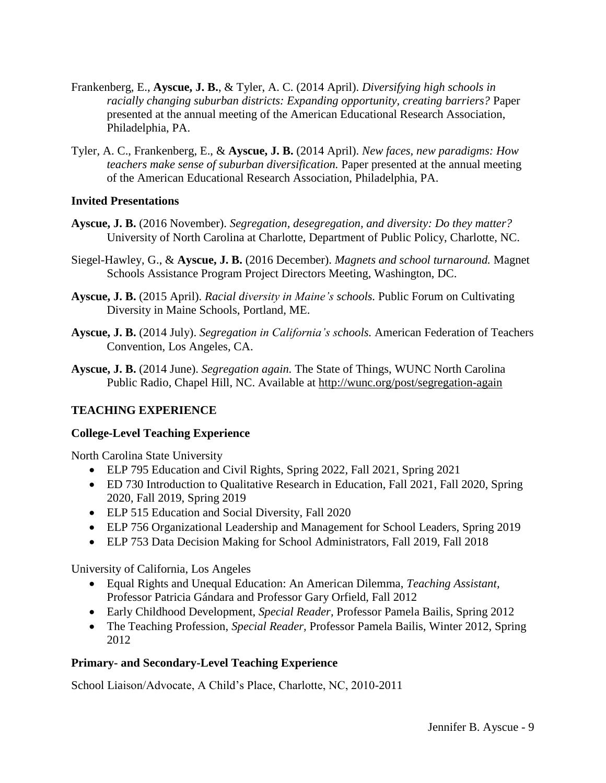- Frankenberg, E., **Ayscue, J. B.**, & Tyler, A. C. (2014 April). *Diversifying high schools in racially changing suburban districts: Expanding opportunity, creating barriers?* Paper presented at the annual meeting of the American Educational Research Association, Philadelphia, PA.
- Tyler, A. C., Frankenberg, E., & **Ayscue, J. B.** (2014 April). *New faces, new paradigms: How teachers make sense of suburban diversification.* Paper presented at the annual meeting of the American Educational Research Association, Philadelphia, PA.

### **Invited Presentations**

- **Ayscue, J. B.** (2016 November). *Segregation, desegregation, and diversity: Do they matter?*  University of North Carolina at Charlotte, Department of Public Policy, Charlotte, NC.
- Siegel-Hawley, G., & **Ayscue, J. B.** (2016 December). *Magnets and school turnaround.* Magnet Schools Assistance Program Project Directors Meeting, Washington, DC.
- **Ayscue, J. B.** (2015 April). *Racial diversity in Maine's schools.* Public Forum on Cultivating Diversity in Maine Schools, Portland, ME.
- **Ayscue, J. B.** (2014 July). *Segregation in California's schools.* American Federation of Teachers Convention, Los Angeles, CA.
- **Ayscue, J. B.** (2014 June). *Segregation again.* The State of Things, WUNC North Carolina Public Radio, Chapel Hill, NC. Available at<http://wunc.org/post/segregation-again>

## **TEACHING EXPERIENCE**

## **College-Level Teaching Experience**

North Carolina State University

- ELP 795 Education and Civil Rights, Spring 2022, Fall 2021, Spring 2021
- ED 730 Introduction to Qualitative Research in Education, Fall 2021, Fall 2020, Spring 2020, Fall 2019, Spring 2019
- ELP 515 Education and Social Diversity, Fall 2020
- ELP 756 Organizational Leadership and Management for School Leaders, Spring 2019
- ELP 753 Data Decision Making for School Administrators, Fall 2019, Fall 2018

University of California, Los Angeles

- Equal Rights and Unequal Education: An American Dilemma, *Teaching Assistant,*  Professor Patricia Gándara and Professor Gary Orfield, Fall 2012
- Early Childhood Development, *Special Reader,* Professor Pamela Bailis, Spring 2012
- The Teaching Profession, *Special Reader,* Professor Pamela Bailis, Winter 2012, Spring 2012

## **Primary- and Secondary-Level Teaching Experience**

School Liaison/Advocate, A Child's Place, Charlotte, NC, 2010-2011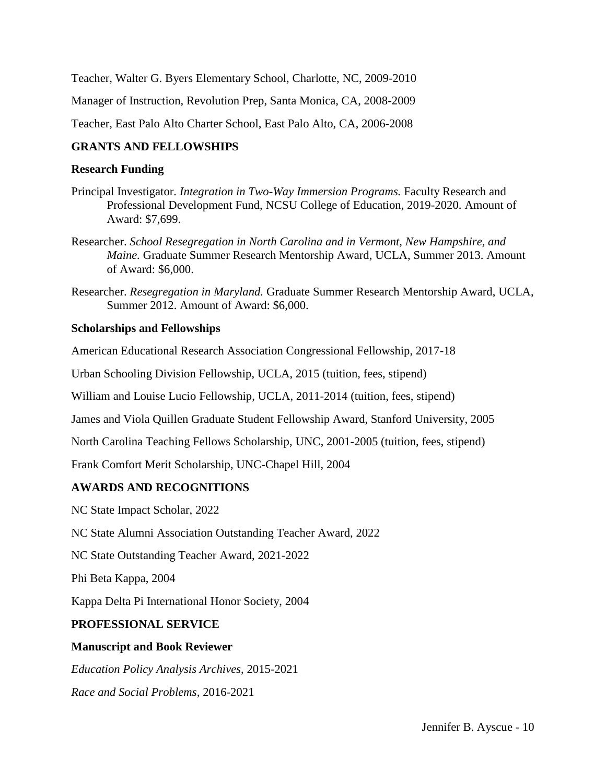Teacher, Walter G. Byers Elementary School, Charlotte, NC, 2009-2010

Manager of Instruction, Revolution Prep, Santa Monica, CA, 2008-2009

Teacher, East Palo Alto Charter School, East Palo Alto, CA, 2006-2008

## **GRANTS AND FELLOWSHIPS**

### **Research Funding**

- Principal Investigator. *Integration in Two-Way Immersion Programs.* Faculty Research and Professional Development Fund, NCSU College of Education, 2019-2020. Amount of Award: \$7,699.
- Researcher. *School Resegregation in North Carolina and in Vermont, New Hampshire, and Maine.* Graduate Summer Research Mentorship Award, UCLA, Summer 2013. Amount of Award: \$6,000.
- Researcher. *Resegregation in Maryland.* Graduate Summer Research Mentorship Award, UCLA, Summer 2012. Amount of Award: \$6,000.

## **Scholarships and Fellowships**

American Educational Research Association Congressional Fellowship, 2017-18

Urban Schooling Division Fellowship, UCLA, 2015 (tuition, fees, stipend)

William and Louise Lucio Fellowship, UCLA, 2011-2014 (tuition, fees, stipend)

James and Viola Quillen Graduate Student Fellowship Award, Stanford University, 2005

North Carolina Teaching Fellows Scholarship, UNC, 2001-2005 (tuition, fees, stipend)

Frank Comfort Merit Scholarship, UNC-Chapel Hill, 2004

## **AWARDS AND RECOGNITIONS**

NC State Impact Scholar, 2022

NC State Alumni Association Outstanding Teacher Award, 2022

NC State Outstanding Teacher Award, 2021-2022

Phi Beta Kappa, 2004

Kappa Delta Pi International Honor Society, 2004

## **PROFESSIONAL SERVICE**

## **Manuscript and Book Reviewer**

*Education Policy Analysis Archives*, 2015-2021

*Race and Social Problems,* 2016-2021